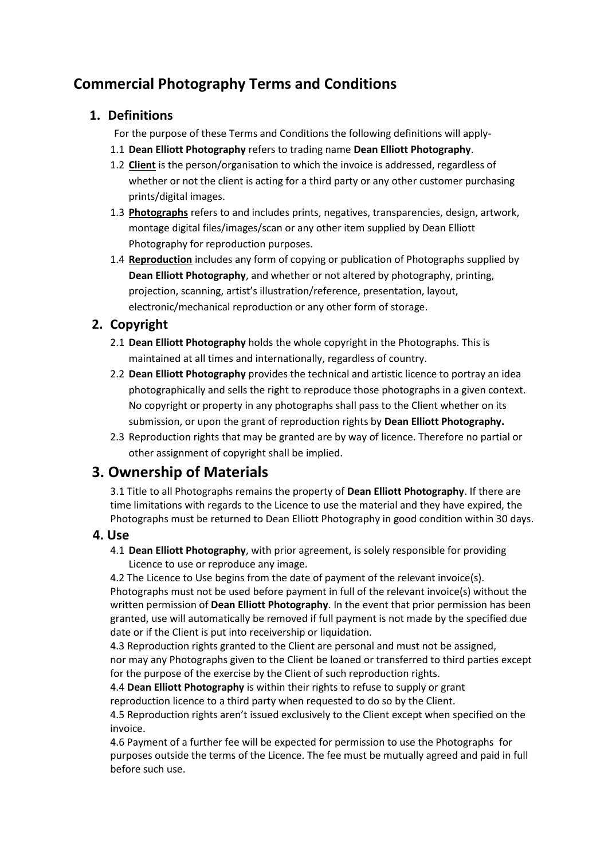# **Commercial Photography Terms and Conditions**

### **1. Definitions**

For the purpose of these Terms and Conditions the following definitions will apply-

- 1.1 **Dean Elliott Photography** refers to trading name **Dean Elliott Photography**.
- 1.2 **Client** is the person/organisation to which the invoice is addressed, regardless of whether or not the client is acting for a third party or any other customer purchasing prints/digital images.
- 1.3 **Photographs** refers to and includes prints, negatives, transparencies, design, artwork, montage digital files/images/scan or any other item supplied by Dean Elliott Photography for reproduction purposes.
- 1.4 **Reproduction** includes any form of copying or publication of Photographs supplied by **Dean Elliott Photography**, and whether or not altered by photography, printing, projection, scanning, artist's illustration/reference, presentation, layout, electronic/mechanical reproduction or any other form of storage.

# **2. Copyright**

- 2.1 **Dean Elliott Photography** holds the whole copyright in the Photographs. This is maintained at all times and internationally, regardless of country.
- 2.2 **Dean Elliott Photography** provides the technical and artistic licence to portray an idea photographically and sells the right to reproduce those photographs in a given context. No copyright or property in any photographs shall pass to the Client whether on its submission, or upon the grant of reproduction rights by **Dean Elliott Photography.**
- 2.3 Reproduction rights that may be granted are by way of licence. Therefore no partial or other assignment of copyright shall be implied.

# **3. Ownership of Materials**

3.1 Title to all Photographs remains the property of **Dean Elliott Photography**. If there are time limitations with regards to the Licence to use the material and they have expired, the Photographs must be returned to Dean Elliott Photography in good condition within 30 days.

#### **4. Use**

4.1 **Dean Elliott Photography**, with prior agreement, is solely responsible for providing Licence to use or reproduce any image.

4.2 The Licence to Use begins from the date of payment of the relevant invoice(s). Photographs must not be used before payment in full of the relevant invoice(s) without the written permission of **Dean Elliott Photography**. In the event that prior permission has been granted, use will automatically be removed if full payment is not made by the specified due date or if the Client is put into receivership or liquidation.

4.3 Reproduction rights granted to the Client are personal and must not be assigned, nor may any Photographs given to the Client be loaned or transferred to third parties except for the purpose of the exercise by the Client of such reproduction rights.

4.4 **Dean Elliott Photography** is within their rights to refuse to supply or grant reproduction licence to a third party when requested to do so by the Client.

4.5 Reproduction rights aren't issued exclusively to the Client except when specified on the invoice.

4.6 Payment of a further fee will be expected for permission to use the Photographs for purposes outside the terms of the Licence. The fee must be mutually agreed and paid in full before such use.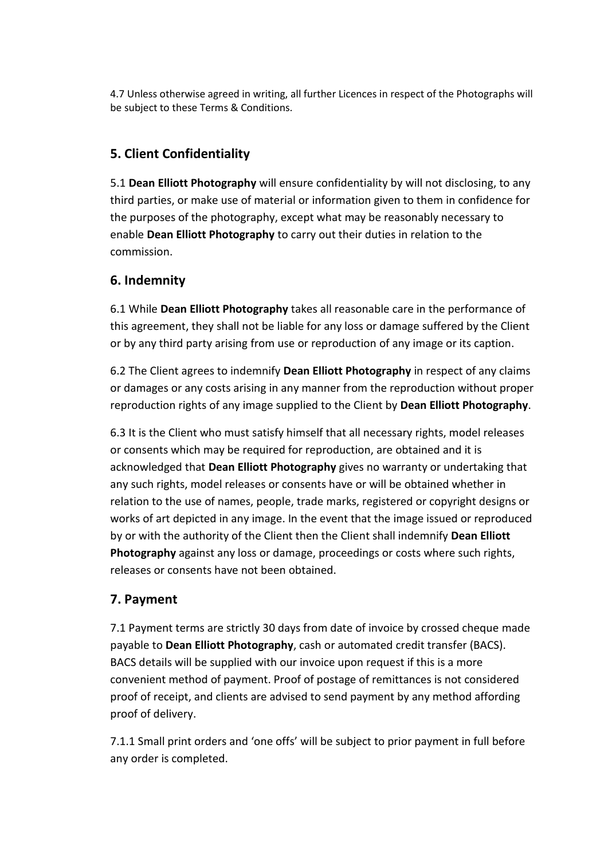4.7 Unless otherwise agreed in writing, all further Licences in respect of the Photographs will be subject to these Terms & Conditions.

# **5. Client Confidentiality**

5.1 **Dean Elliott Photography** will ensure confidentiality by will not disclosing, to any third parties, or make use of material or information given to them in confidence for the purposes of the photography, except what may be reasonably necessary to enable **Dean Elliott Photography** to carry out their duties in relation to the commission.

#### **6. Indemnity**

6.1 While **Dean Elliott Photography** takes all reasonable care in the performance of this agreement, they shall not be liable for any loss or damage suffered by the Client or by any third party arising from use or reproduction of any image or its caption.

6.2 The Client agrees to indemnify **Dean Elliott Photography** in respect of any claims or damages or any costs arising in any manner from the reproduction without proper reproduction rights of any image supplied to the Client by **Dean Elliott Photography**.

6.3 It is the Client who must satisfy himself that all necessary rights, model releases or consents which may be required for reproduction, are obtained and it is acknowledged that **Dean Elliott Photography** gives no warranty or undertaking that any such rights, model releases or consents have or will be obtained whether in relation to the use of names, people, trade marks, registered or copyright designs or works of art depicted in any image. In the event that the image issued or reproduced by or with the authority of the Client then the Client shall indemnify **Dean Elliott Photography** against any loss or damage, proceedings or costs where such rights, releases or consents have not been obtained.

#### **7. Payment**

7.1 Payment terms are strictly 30 days from date of invoice by crossed cheque made payable to **Dean Elliott Photography**, cash or automated credit transfer (BACS). BACS details will be supplied with our invoice upon request if this is a more convenient method of payment. Proof of postage of remittances is not considered proof of receipt, and clients are advised to send payment by any method affording proof of delivery.

7.1.1 Small print orders and 'one offs' will be subject to prior payment in full before any order is completed.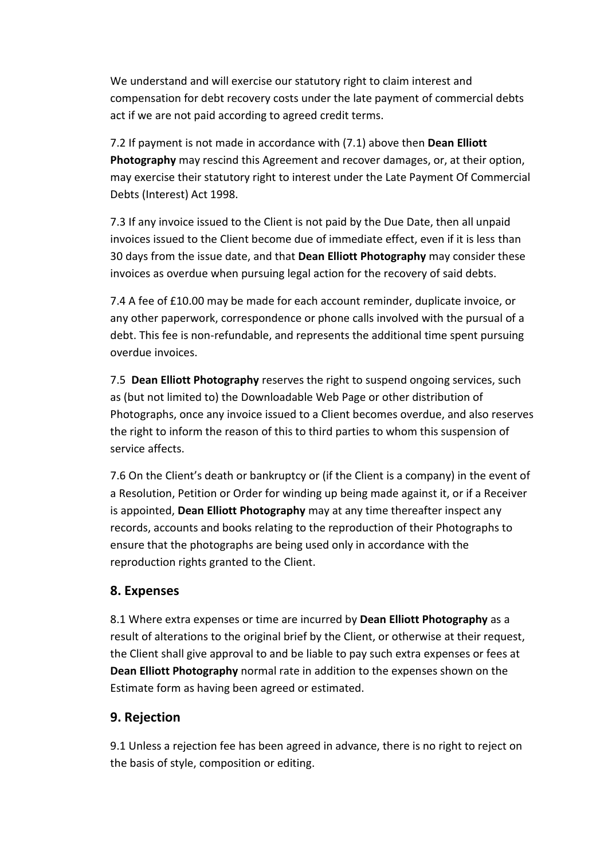We understand and will exercise our statutory right to claim interest and compensation for debt recovery costs under the late payment of commercial debts act if we are not paid according to agreed credit terms.

7.2 If payment is not made in accordance with (7.1) above then **Dean Elliott Photography** may rescind this Agreement and recover damages, or, at their option, may exercise their statutory right to interest under the Late Payment Of Commercial Debts (Interest) Act 1998.

7.3 If any invoice issued to the Client is not paid by the Due Date, then all unpaid invoices issued to the Client become due of immediate effect, even if it is less than 30 days from the issue date, and that **Dean Elliott Photography** may consider these invoices as overdue when pursuing legal action for the recovery of said debts.

7.4 A fee of £10.00 may be made for each account reminder, duplicate invoice, or any other paperwork, correspondence or phone calls involved with the pursual of a debt. This fee is non-refundable, and represents the additional time spent pursuing overdue invoices.

7.5 **Dean Elliott Photography** reserves the right to suspend ongoing services, such as (but not limited to) the Downloadable Web Page or other distribution of Photographs, once any invoice issued to a Client becomes overdue, and also reserves the right to inform the reason of this to third parties to whom this suspension of service affects.

7.6 On the Client's death or bankruptcy or (if the Client is a company) in the event of a Resolution, Petition or Order for winding up being made against it, or if a Receiver is appointed, **Dean Elliott Photography** may at any time thereafter inspect any records, accounts and books relating to the reproduction of their Photographs to ensure that the photographs are being used only in accordance with the reproduction rights granted to the Client.

#### **8. Expenses**

8.1 Where extra expenses or time are incurred by **Dean Elliott Photography** as a result of alterations to the original brief by the Client, or otherwise at their request, the Client shall give approval to and be liable to pay such extra expenses or fees at **Dean Elliott Photography** normal rate in addition to the expenses shown on the Estimate form as having been agreed or estimated.

# **9. Rejection**

9.1 Unless a rejection fee has been agreed in advance, there is no right to reject on the basis of style, composition or editing.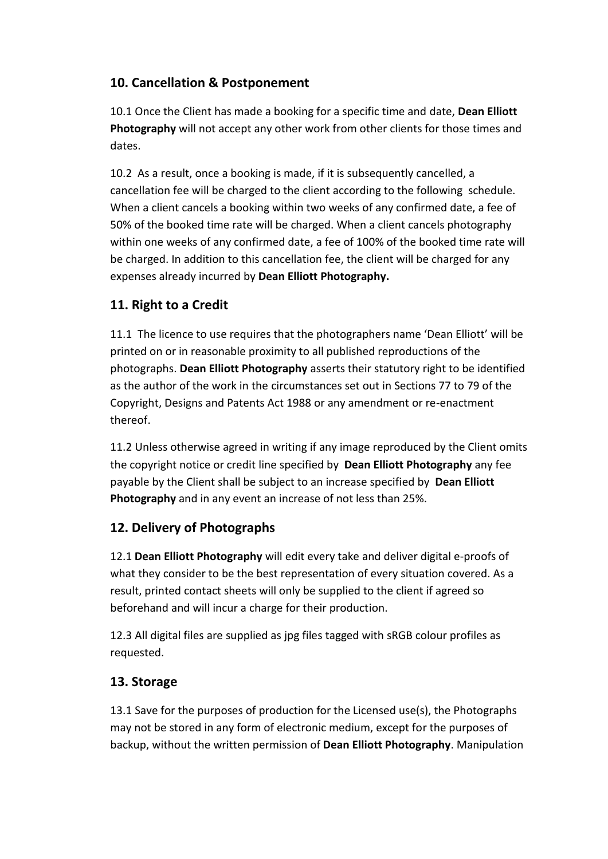# **10. Cancellation & Postponement**

10.1 Once the Client has made a booking for a specific time and date, **Dean Elliott Photography** will not accept any other work from other clients for those times and dates.

10.2 As a result, once a booking is made, if it is subsequently cancelled, a cancellation fee will be charged to the client according to the following schedule. When a client cancels a booking within two weeks of any confirmed date, a fee of 50% of the booked time rate will be charged. When a client cancels photography within one weeks of any confirmed date, a fee of 100% of the booked time rate will be charged. In addition to this cancellation fee, the client will be charged for any expenses already incurred by **Dean Elliott Photography.**

# **11. Right to a Credit**

11.1 The licence to use requires that the photographers name 'Dean Elliott' will be printed on or in reasonable proximity to all published reproductions of the photographs. **Dean Elliott Photography** asserts their statutory right to be identified as the author of the work in the circumstances set out in Sections 77 to 79 of the Copyright, Designs and Patents Act 1988 or any amendment or re-enactment thereof.

11.2 Unless otherwise agreed in writing if any image reproduced by the Client omits the copyright notice or credit line specified by **Dean Elliott Photography** any fee payable by the Client shall be subject to an increase specified by **Dean Elliott Photography** and in any event an increase of not less than 25%.

# **12. Delivery of Photographs**

12.1 **Dean Elliott Photography** will edit every take and deliver digital e-proofs of what they consider to be the best representation of every situation covered. As a result, printed contact sheets will only be supplied to the client if agreed so beforehand and will incur a charge for their production.

12.3 All digital files are supplied as jpg files tagged with sRGB colour profiles as requested.

# **13. Storage**

13.1 Save for the purposes of production for the Licensed use(s), the Photographs may not be stored in any form of electronic medium, except for the purposes of backup, without the written permission of **Dean Elliott Photography**. Manipulation